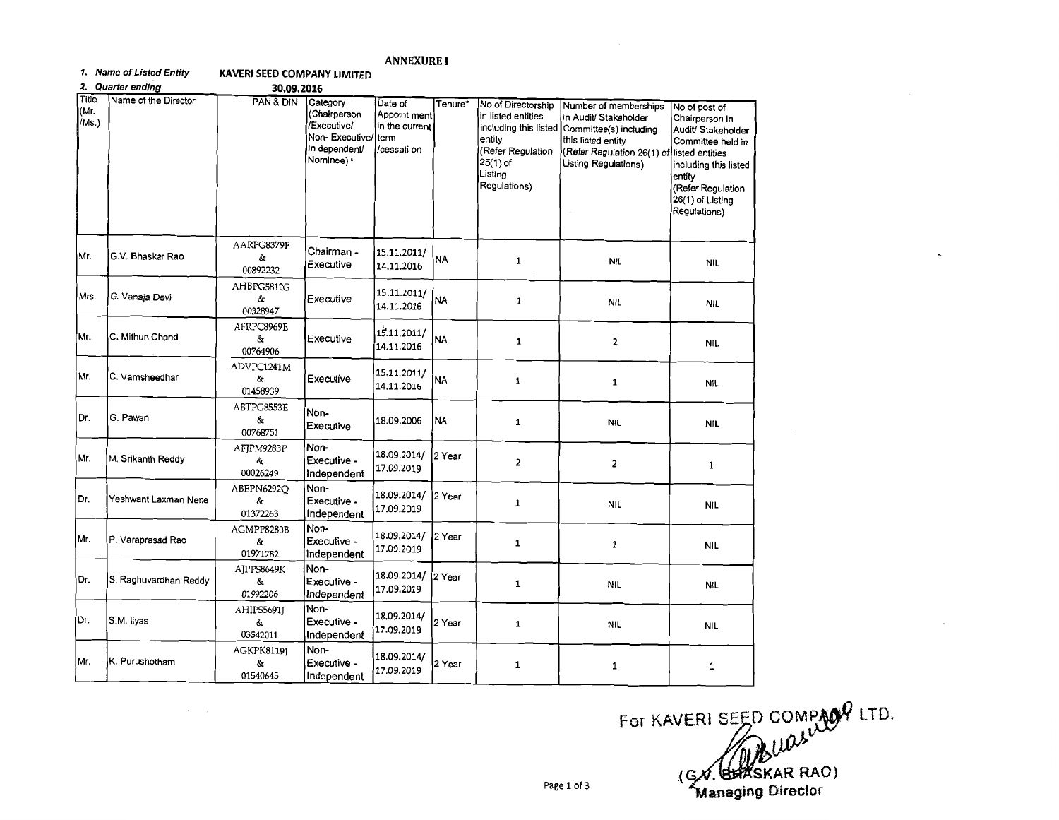## **ANNEXURE 1**

## **1. Name of** *Listed Entity* **KAVERl SEED COMPANY LIMITED**

2. Quarter ending 30.09.2016

 $\mathcal{A}=\mathcal{A}$  .

| Title<br>(Mr.<br>/Ms.) | Name of the Director  | PAN & DIN                    | Category<br>(Chairperson<br>/Executive/<br>Non-Executive/<br>in dependent/<br>Nominee) <sup>&amp;</sup> | Date of<br>Appoint ment<br>in the current<br>term<br>/cessati on | Tenure*   | No of Directorship<br>in listed entities<br>including this listed<br>entity<br>(Refer Regulation<br>$25(1)$ of<br>Listing<br>Regulations) | Number of memberships<br>in Audit/ Stakeholder<br>Committee(s) including<br>this listed entity<br>(Refer Regulation 26(1) of<br>Listing Regulations) | No of post of<br>Chairperson in<br>Audit/ Stakeholder<br>Committee held in<br>listed entities<br>including this listed<br>entity<br>Refer Regulation<br>26(1) of Listing<br>Regulations) |
|------------------------|-----------------------|------------------------------|---------------------------------------------------------------------------------------------------------|------------------------------------------------------------------|-----------|-------------------------------------------------------------------------------------------------------------------------------------------|------------------------------------------------------------------------------------------------------------------------------------------------------|------------------------------------------------------------------------------------------------------------------------------------------------------------------------------------------|
| Mr.                    | G.V. Bhaskar Rao      | AARPG8379F<br>&<br>00892232  | Chairman -<br>Executive                                                                                 | 15.11.2011/<br>14.11.2016                                        | <b>NA</b> | 1                                                                                                                                         | <b>NIL</b>                                                                                                                                           | <b>NIL</b>                                                                                                                                                                               |
| Mrs.                   | G. Vanaja Devi        | AHBPG5812G<br>&<br>00328947  | Executive                                                                                               | 15.11.2011/<br>14.11.2016                                        | <b>NA</b> | $\mathbf{1}$                                                                                                                              | <b>NIL</b>                                                                                                                                           | NIL                                                                                                                                                                                      |
| Mr.                    | C. Mithun Chand       | AFRPC8969E<br>&<br>00764906  | Executive                                                                                               | 15.11.2011/<br>14.11.2016                                        | <b>NA</b> | $\mathbf{1}$                                                                                                                              | $\mathbf{2}$                                                                                                                                         | NIL                                                                                                                                                                                      |
| Mr.                    | C. Vamsheedhar        | ADVPC1241M<br>&<br>01458939  | Executive                                                                                               | 15.11.2011/<br>14.11.2016                                        | NA)       | 1                                                                                                                                         | 1                                                                                                                                                    | NIL.                                                                                                                                                                                     |
| Dr.                    | G. Pawan              | ABTPG8553E<br>&<br>00768751  | Non-<br>Executive                                                                                       | 18.09.2006                                                       | <b>NA</b> | 1                                                                                                                                         | NIL                                                                                                                                                  | nil                                                                                                                                                                                      |
| Mr.                    | M. Srikanth Reddy     | AFIPM9283P<br>&.<br>00026249 | Non-<br>Executive -<br>Independent                                                                      | 18.09.2014/<br>17.09.2019                                        | l2 Year   | $\overline{\mathbf{2}}$                                                                                                                   | $\overline{\mathbf{2}}$                                                                                                                              | $\mathbf{1}$                                                                                                                                                                             |
| Dr.                    | Yeshwant Laxman Nene  | ABEPN6292O<br>&<br>01372263  | Non-<br>Executive -<br>Independent                                                                      | 18.09.2014/<br>17.09.2019                                        | 2 Year    | $\mathbf{1}$                                                                                                                              | <b>NIL</b>                                                                                                                                           | <b>NIL</b>                                                                                                                                                                               |
| Mr.                    | P. Varaprasad Rao     | AGMPP8280B<br>&<br>01971782  | Non-<br>Executive -<br>Independent                                                                      | 18.09.2014/<br>17.09.2019                                        | 2 Year    | $\mathbf{1}$                                                                                                                              | $\mathbf{1}$                                                                                                                                         | <b>NIL</b>                                                                                                                                                                               |
| Dr.                    | S. Raghuvardhan Reddy | AJPPS8649K<br>&<br>01992206  | Non-<br>Executive -<br>Independent                                                                      | 18.09.2014/<br>17.09.2019                                        | 2 Year    | 1                                                                                                                                         | NIL                                                                                                                                                  | NIL                                                                                                                                                                                      |
| Dr.                    | S.M. Ilyas            | AHIPS5691J<br>&<br>03542011  | Non-<br>Executive -<br>Independent                                                                      | 18.09.2014/<br>17.09.2019                                        | 2 Year    | 1                                                                                                                                         | NIL                                                                                                                                                  | <b>NIL</b>                                                                                                                                                                               |
| Mr.                    | K. Purushotham        | AGKPK8119J<br>&<br>01540645  | Non-<br>Executive -<br>Independent                                                                      | 18.09.2014/<br>17.09.2019                                        | 2 Year    | 1                                                                                                                                         | $\mathbf{1}$                                                                                                                                         | 1                                                                                                                                                                                        |

For KAVERI SEED COMPAGE LTD.<br>(GX) BREAGE RAO)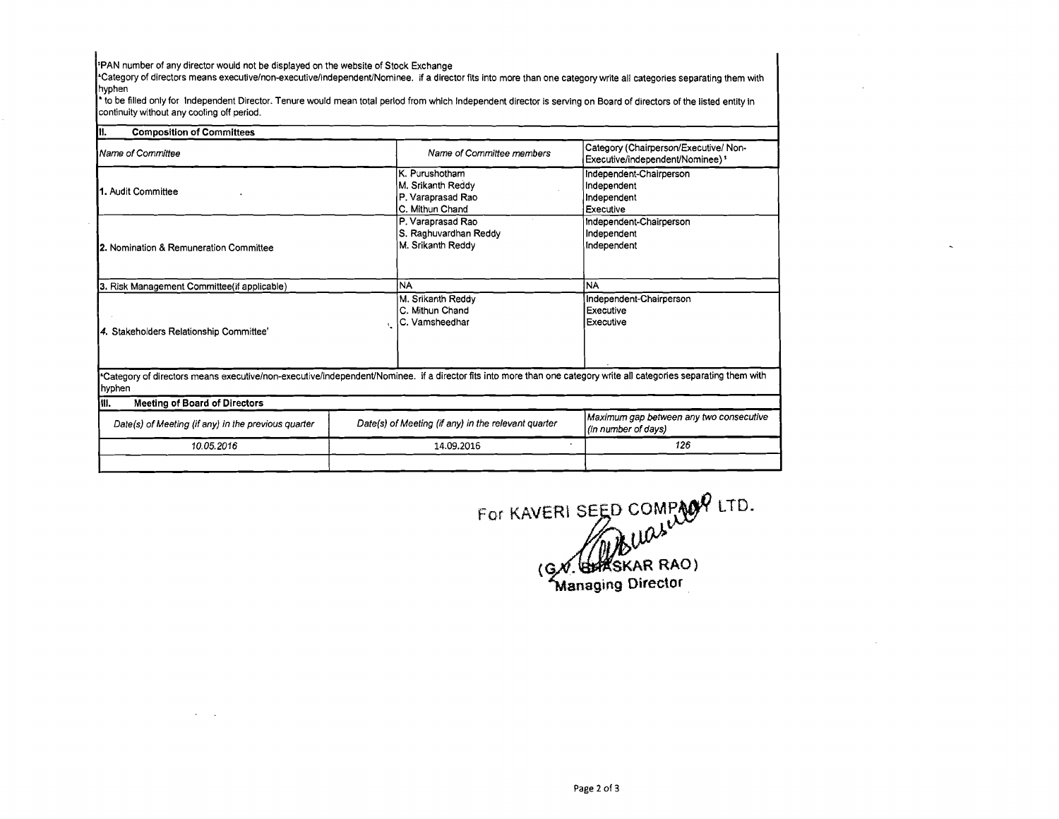**\$PAN** number of any director would not be displayed on the website of Stock Exchange

"Category of directors means **executivelnon-executiveIindependent~Norninee.** if a director fits into more than one category write all categories separating them with

'to be filled only for lndependent Director. Tenure would mean total period from which Independent director is serving on Board of directors of the listed entity in continuity without any cooling off period.

| III.<br><b>Composition of Committees</b>                                                                                                                                      |  |                                                                             |                                                                           |  |
|-------------------------------------------------------------------------------------------------------------------------------------------------------------------------------|--|-----------------------------------------------------------------------------|---------------------------------------------------------------------------|--|
| Name of Committee                                                                                                                                                             |  | Name of Committee members                                                   | Category (Chairperson/Executive/Non-<br>Executive/independent/Nominee) \$ |  |
| 1. Audit Committee                                                                                                                                                            |  | K. Purushotham<br>M. Srikanth Reddy<br>P. Varaprasad Rao<br>C. Mithun Chand | Independent-Chairperson<br>Independent<br>Independent<br>Executive        |  |
| 2. Nomination & Remuneration Committee                                                                                                                                        |  | P. Varaprasad Rao<br>S. Raghuvardhan Reddy<br>M. Srikanth Reddy             | Independent-Chairperson<br>Independent<br>Independent                     |  |
| 3. Risk Management Committee(if applicable)                                                                                                                                   |  | <b>NA</b>                                                                   | <b>NA</b>                                                                 |  |
| 4. Stakeholders Relationship Committee'                                                                                                                                       |  | M. Srikanth Reddy<br>C. Mithun Chand<br>IC. Vamsheedhar                     | Independent-Chairperson<br>Executive<br>Executive                         |  |
| "Category of directors means executive/non-executive/independent/Nominee. if a director fits into more than one category write all categories separating them with<br> hyphen |  |                                                                             |                                                                           |  |
| <b>Meeting of Board of Directors</b><br>IW.                                                                                                                                   |  |                                                                             |                                                                           |  |
| Date(s) of Meeting (if any) in the previous quarter<br>10.05.2016                                                                                                             |  | Date(s) of Meeting (if any) in the relevant quarter                         | Maximum gap between any two consecutive<br>(in number of days)            |  |
|                                                                                                                                                                               |  | 14.09.2016                                                                  | 126                                                                       |  |
|                                                                                                                                                                               |  |                                                                             |                                                                           |  |

For KAVERI SEED COMPAGY LTD.<br>(GX. BEASKAR RAO)<br>Managing Director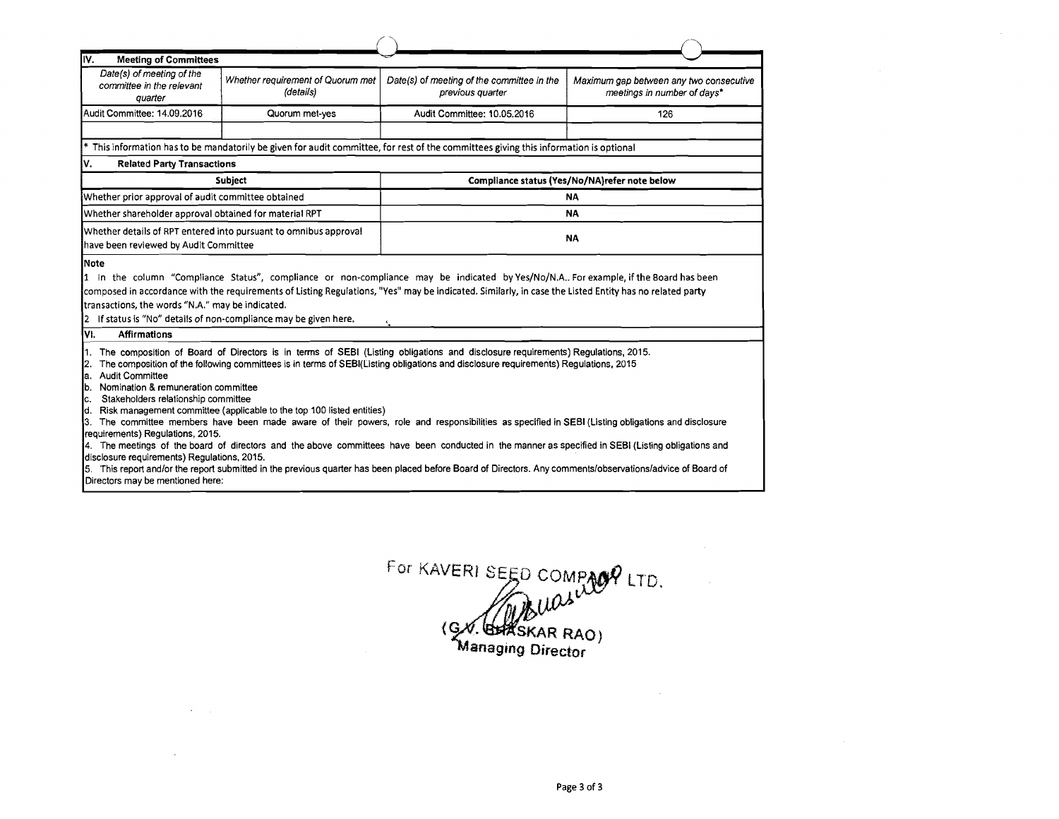| <b>Meeting of Committees</b><br>IV.                                                                                                                                                                                                                                                                                                                                                                                                                                                                                                                                                                                                                                                                                                                                                                                                                                                                                                                                                                                                                                                    |                                                                  |                                                                                                                                       |                                                                        |  |  |  |
|----------------------------------------------------------------------------------------------------------------------------------------------------------------------------------------------------------------------------------------------------------------------------------------------------------------------------------------------------------------------------------------------------------------------------------------------------------------------------------------------------------------------------------------------------------------------------------------------------------------------------------------------------------------------------------------------------------------------------------------------------------------------------------------------------------------------------------------------------------------------------------------------------------------------------------------------------------------------------------------------------------------------------------------------------------------------------------------|------------------------------------------------------------------|---------------------------------------------------------------------------------------------------------------------------------------|------------------------------------------------------------------------|--|--|--|
| Date(s) of meeting of the<br>committee in the relevant<br>quarter                                                                                                                                                                                                                                                                                                                                                                                                                                                                                                                                                                                                                                                                                                                                                                                                                                                                                                                                                                                                                      | Whether requirement of Quorum met<br>(details)                   | Date(s) of meeting of the committee in the<br>previous quarter                                                                        | Maximum gap between any two consecutive<br>meetings in number of days* |  |  |  |
| Audit Committee: 14.09.2016                                                                                                                                                                                                                                                                                                                                                                                                                                                                                                                                                                                                                                                                                                                                                                                                                                                                                                                                                                                                                                                            | Quorum met-yes                                                   | Audit Committee: 10.05.2016                                                                                                           | 126                                                                    |  |  |  |
|                                                                                                                                                                                                                                                                                                                                                                                                                                                                                                                                                                                                                                                                                                                                                                                                                                                                                                                                                                                                                                                                                        |                                                                  | * This information has to be mandatorily be given for audit committee, for rest of the committees giving this information is optional |                                                                        |  |  |  |
| ٧.<br><b>Related Party Transactions</b>                                                                                                                                                                                                                                                                                                                                                                                                                                                                                                                                                                                                                                                                                                                                                                                                                                                                                                                                                                                                                                                |                                                                  |                                                                                                                                       |                                                                        |  |  |  |
|                                                                                                                                                                                                                                                                                                                                                                                                                                                                                                                                                                                                                                                                                                                                                                                                                                                                                                                                                                                                                                                                                        | Subject                                                          | Compliance status (Yes/No/NA)refer note below                                                                                         |                                                                        |  |  |  |
| Whether prior approval of audit committee obtained                                                                                                                                                                                                                                                                                                                                                                                                                                                                                                                                                                                                                                                                                                                                                                                                                                                                                                                                                                                                                                     |                                                                  |                                                                                                                                       | <b>NA</b>                                                              |  |  |  |
| Whether shareholder approval obtained for material RPT                                                                                                                                                                                                                                                                                                                                                                                                                                                                                                                                                                                                                                                                                                                                                                                                                                                                                                                                                                                                                                 |                                                                  | <b>NA</b>                                                                                                                             |                                                                        |  |  |  |
| have been reviewed by Audit Committee                                                                                                                                                                                                                                                                                                                                                                                                                                                                                                                                                                                                                                                                                                                                                                                                                                                                                                                                                                                                                                                  | Whether details of RPT entered into pursuant to omnibus approval | <b>NA</b>                                                                                                                             |                                                                        |  |  |  |
| 1 In the column "Compliance Status", compliance or non-compliance may be indicated by Yes/No/N.A For example, if the Board has been<br>composed in accordance with the requirements of Listing Regulations, "Yes" may be indicated. Similarly, in case the Listed Entity has no related party<br>transactions, the words "N.A." may be indicated.<br>2 If status is "No" details of non-compliance may be given here.                                                                                                                                                                                                                                                                                                                                                                                                                                                                                                                                                                                                                                                                  |                                                                  |                                                                                                                                       |                                                                        |  |  |  |
| VI.<br><b>Affirmations</b>                                                                                                                                                                                                                                                                                                                                                                                                                                                                                                                                                                                                                                                                                                                                                                                                                                                                                                                                                                                                                                                             |                                                                  |                                                                                                                                       |                                                                        |  |  |  |
| The composition of Board of Directors is in terms of SEBI (Listing obligations and disclosure requirements) Regulations, 2015.<br>The composition of the following committees is in terms of SEBI(Listing obligations and disclosure requirements) Regulations, 2015<br>12.<br><b>Audit Committee</b><br>la.<br>b. Nomination & remuneration committee<br>c. Stakeholders relationship committee<br>Risk management committee (applicable to the top 100 listed entities)<br>Id. I<br>The committee members have been made aware of their powers, role and responsibilities as specified in SEBI (Listing obligations and disclosure<br>I3.<br>requirements) Regulations, 2015.<br>4. The meetings of the board of directors and the above committees have been conducted in the manner as specified in SEBI (Listing obligations and<br>disclosure requirements) Regulations, 2015.<br>5. This report and/or the report submitted in the previous quarter has been placed before Board of Directors. Any comments/observations/advice of Board of<br>Directors may be mentioned here: |                                                                  |                                                                                                                                       |                                                                        |  |  |  |

 $\sim 10^{11}$  km s  $^{-1}$ 

 $\sim$ 

For KAVERI SEED COMPAGY LTD.<br>
(SX. BHASKAR RAO)<br>
Managing Director

 $\sim 10^{-1}$ 

 $\sim 10^7$